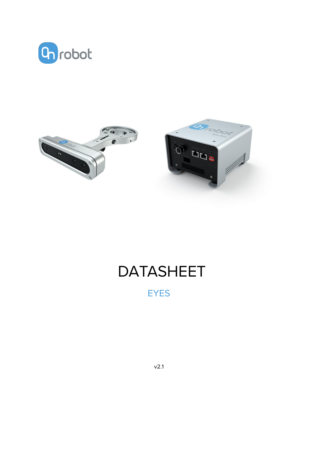



# DATASHEET

EYES

v2.1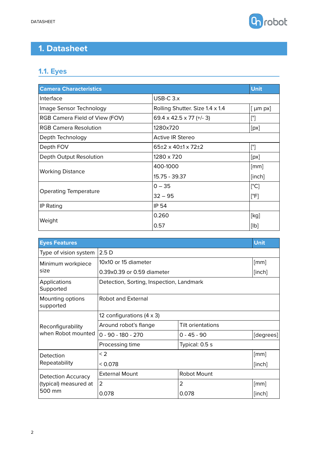

## **1. Datasheet**

## **1.1. Eyes**

| <b>Camera Characteristics</b>  |                                      | <b>Unit</b>           |
|--------------------------------|--------------------------------------|-----------------------|
| Interface                      | $USE-C$ 3. $x$                       |                       |
| Image Sensor Technology        | Rolling Shutter. Size 1.4 x 1.4      | $\lceil \mu m \rceil$ |
| RGB Camera Field of View (FOV) | 69.4 x 42.5 x 77 ( $+/-$ 3)          | $[^{\circ}]$          |
| <b>RGB Camera Resolution</b>   | 1280x720                             | [px]                  |
| Depth Technology               | <b>Active IR Stereo</b>              |                       |
| Depth FOV                      | $65\pm2 \times 40\pm1 \times 72\pm2$ | $[^{\circ}]$          |
| Depth Output Resolution        | 1280 x 720                           | [px]                  |
|                                | 400-1000                             | $\lceil mm \rceil$    |
| <b>Working Distance</b>        | 15.75 - 39.37                        | [inch]                |
|                                | $0 - 35$                             | $[^{\circ}C]$         |
| <b>Operating Temperature</b>   | $32 - 95$                            | [°F]                  |
| IP Rating                      | <b>IP 54</b>                         |                       |
|                                | 0.260                                | [kg]                  |
| Weight                         | 0.57                                 | [lb]                  |

| <b>Eyes Features</b>             |                                            |                    | <b>Unit</b> |  |
|----------------------------------|--------------------------------------------|--------------------|-------------|--|
| Type of vision system            | 2.5D                                       |                    |             |  |
| Minimum workpiece                | 10x10 or 15 diameter                       |                    | [mm]        |  |
| size                             | 0.39x0.39 or 0.59 diameter                 |                    |             |  |
| <b>Applications</b><br>Supported | Detection, Sorting, Inspection, Landmark   |                    |             |  |
| Mounting options<br>supported    | Robot and External                         |                    |             |  |
|                                  | 12 configurations $(4 \times 3)$           |                    |             |  |
| Reconfigurability                | Around robot's flange<br>Tilt orientations |                    |             |  |
| when Robot mounted               | $0 - 90 - 180 - 270$                       | $0 - 45 - 90$      | [degrees]   |  |
|                                  | Processing time                            | Typical: 0.5 s     |             |  |
| Detection                        | $\leq$ 2                                   |                    | [mm]        |  |
| Repeatability                    | < 0.078                                    |                    | [inch]      |  |
| <b>Detection Accuracy</b>        | <b>External Mount</b>                      | <b>Robot Mount</b> |             |  |
| (typical) measured at            | $\overline{2}$                             | 2                  | [mm]        |  |
| 500 mm                           | 0.078                                      | 0.078              | [inch]      |  |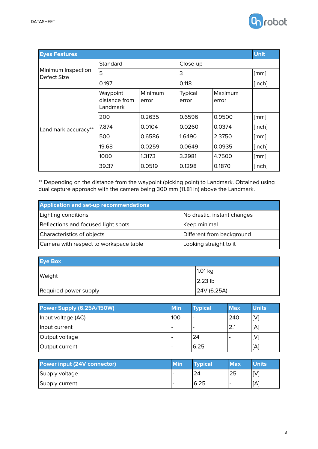

| <b>Eyes Features</b>              |                                       |                  |                  |                  | <b>Unit</b> |
|-----------------------------------|---------------------------------------|------------------|------------------|------------------|-------------|
|                                   | Standard                              |                  | Close-up         |                  |             |
| Minimum Inspection<br>Defect Size | 5                                     |                  | 3                |                  | [mm]        |
|                                   | 0.197                                 |                  | 0.118            |                  | [inch]      |
| Landmark accuracy**               | Waypoint<br>distance from<br>Landmark | Minimum<br>error | Typical<br>error | Maximum<br>error |             |
|                                   | 200                                   | 0.2635           | 0.6596           | 0.9500           | [mm]        |
|                                   | 7.874                                 | 0.0104           | 0.0260           | 0.0374           | [inch]      |
|                                   | 500                                   | 0.6586           | 1.6490           | 2.3750           | [mm]        |
|                                   | 19.68                                 | 0.0259           | 0.0649           | 0.0935           | [inch]      |
|                                   | 1000                                  | 1.3173           | 3.2981           | 4.7500           | [mm]        |
|                                   | 39.37                                 | 0.0519           | 0.1298           | 0.1870           | [inch]      |

\*\* Depending on the distance from the waypoint (picking point) to Landmark. Obtained using dual capture approach with the camera being 300 mm (11.81 in) above the Landmark.

| <b>Application and set-up recommendations</b> |                             |
|-----------------------------------------------|-----------------------------|
| Lighting conditions                           | No drastic, instant changes |
| Reflections and focused light spots           | Keep minimal                |
| Characteristics of objects                    | Different from background   |
| Camera with respect to workspace table        | Looking straight to it      |

| <b>Eye Box</b>        |             |
|-----------------------|-------------|
| Weight                | 1.01 kg     |
|                       | 2.23 lb     |
| Required power supply | 24V (6.25A) |

| Power Supply (6.25A/150W) | <b>Min</b> | <b>Typical</b> | <b>Max</b> | <b>Units</b> |
|---------------------------|------------|----------------|------------|--------------|
| Input voltage (AC)        | 100        |                | 240        | [V]          |
| Input current             | -          |                | 2.1        | $\mathsf{A}$ |
| Output voltage            | -          | 24             |            | V            |
| Output current            | -          | 6.25           |            | A'           |

| Power input (24V connector) | Min | <b>Typical</b> | <b>Max</b> | <b>Units</b> |
|-----------------------------|-----|----------------|------------|--------------|
| Supply voltage              |     | 24             | 25         | ΓVΊ          |
| Supply current              |     | 6.25           | -          | [A]          |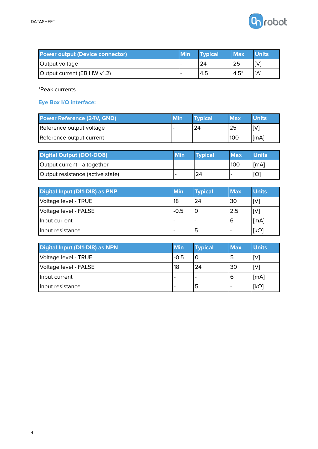

| <b>Power output (Device connector)</b> | <b>Min</b> | <b>Typical</b> | <b>Max</b> | <b>Units</b> |
|----------------------------------------|------------|----------------|------------|--------------|
| Output voltage                         |            | 24             | 25         | [V]          |
| Output current (EB HW v1.2)            |            | 4.5            | $4.5*$     | [A]          |

\*Peak currents

#### **Eye Box I/O interface:**

| <b>Power Reference (24V, GND)</b> | <b>Min</b> | <b>Typical</b> | <b>Max</b> | <b>Units</b> |
|-----------------------------------|------------|----------------|------------|--------------|
| Reference output voltage          |            | 24             | 25         |              |
| Reference output current          |            |                | 100        | [mA]         |

| <b>Digital Output (DO1-DO8)</b>  | <b>Min</b>               | <b>Typical</b> | <b>Max</b> | Units |
|----------------------------------|--------------------------|----------------|------------|-------|
| Output current - altogether      | $\overline{\phantom{a}}$ |                | 100        | [mA]  |
| Output resistance (active state) | $\overline{\phantom{a}}$ | 24             |            | [Ω]   |

| Digital Input (DI1-DI8) as PNP | <b>Min</b> | <b>Typical</b> | <b>Max</b> | <b>Units</b>   |
|--------------------------------|------------|----------------|------------|----------------|
| Voltage level - TRUE           | 18         | 24             | 30         | $\mathsf{[V]}$ |
| Voltage level - FALSE          | $-0.5$     |                | 2.5        | $\mathsf{[V]}$ |
| Input current                  |            |                | 6          | [mA]           |
| Input resistance               |            | כ              |            | $[k\Omega]$    |

| Digital Input (DI1-DI8) as NPN | <b>Min</b> | <b>Typical</b> | <b>Max</b>               | <b>Units</b> |
|--------------------------------|------------|----------------|--------------------------|--------------|
| Voltage level - TRUE           | $-0.5$     | C              | '5                       | [V]          |
| Voltage level - FALSE          | 18         | 24             | 30                       | [V]          |
| Input current                  |            |                | 6                        | [mA]         |
| Input resistance               | -          | ь              | $\overline{\phantom{0}}$ | $[k\Omega]$  |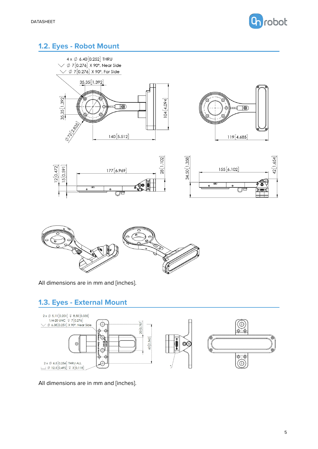

### **1.2. Eyes - Robot Mount**











All dimensions are in mm and [inches].

#### **1.3. Eyes - External Mount**



All dimensions are in mm and [inches].